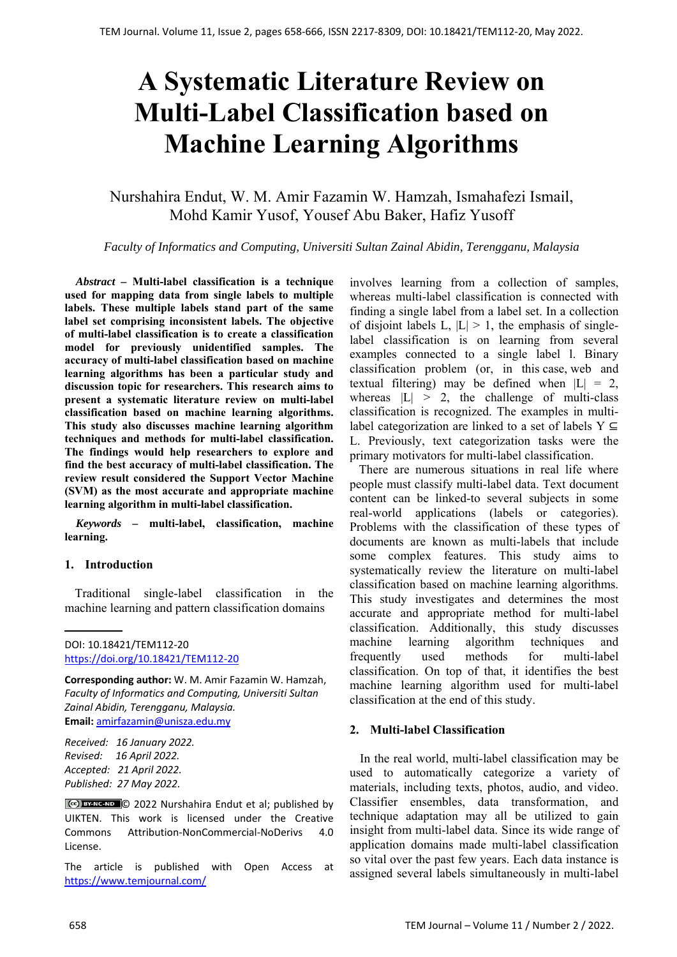# **A Systematic Literature Review on Multi-Label Classification based on Machine Learning Algorithms**

Nurshahira Endut, W. M. Amir Fazamin W. Hamzah, Ismahafezi Ismail, Mohd Kamir Yusof, Yousef Abu Baker, Hafiz Yusoff

*Faculty of Informatics and Computing, Universiti Sultan Zainal Abidin, Terengganu, Malaysia*

*Abstract –* **Multi-label classification is a technique used for mapping data from single labels to multiple labels. These multiple labels stand part of the same label set comprising inconsistent labels. The objective of multi-label classification is to create a classification model for previously unidentified samples. The accuracy of multi-label classification based on machine learning algorithms has been a particular study and discussion topic for researchers. This research aims to present a systematic literature review on multi-label classification based on machine learning algorithms. This study also discusses machine learning algorithm techniques and methods for multi-label classification. The findings would help researchers to explore and find the best accuracy of multi-label classification. The review result considered the Support Vector Machine (SVM) as the most accurate and appropriate machine learning algorithm in multi-label classification.** 

*Keywords –* **multi-label, classification, machine learning.** 

#### **1. Introduction**

Traditional single-label classification in the machine learning and pattern classification domains

**Corresponding author:** W. M. Amir Fazamin W. Hamzah, *Faculty of Informatics and Computing, Universiti Sultan Zainal Abidin, Terengganu, Malaysia.*  **Email:** amirfazamin@unisza.edu.my

*Received: 16 January 2022. Revised: 16 April 2022. Accepted: 21 April 2022. Published: 27 May 2022.* 

© 2022 Nurshahira Endut et al; published by UIKTEN. This work is licensed under the Creative Commons Attribution‐NonCommercial‐NoDerivs 4.0 License.

The article is published with Open Access at https://www.temjournal.com/

involves learning from a collection of samples, whereas multi-label classification is connected with finding a single label from a label set. In a collection of disjoint labels L,  $|L| > 1$ , the emphasis of singlelabel classification is on learning from several examples connected to a single label l. Binary classification problem (or, in this case, web and textual filtering) may be defined when  $|L| = 2$ , whereas  $|L| > 2$ , the challenge of multi-class classification is recognized. The examples in multilabel categorization are linked to a set of labels  $Y \subseteq$ L. Previously, text categorization tasks were the primary motivators for multi-label classification.

 There are numerous situations in real life where people must classify multi-label data. Text document content can be linked-to several subjects in some real-world applications (labels or categories). Problems with the classification of these types of documents are known as multi-labels that include some complex features. This study aims to systematically review the literature on multi-label classification based on machine learning algorithms. This study investigates and determines the most accurate and appropriate method for multi-label classification. Additionally, this study discusses machine learning algorithm techniques and frequently used methods for multi-label classification. On top of that, it identifies the best machine learning algorithm used for multi-label classification at the end of this study.

#### **2. Multi-label Classification**

In the real world, multi-label classification may be used to automatically categorize a variety of materials, including texts, photos, audio, and video. Classifier ensembles, data transformation, and technique adaptation may all be utilized to gain insight from multi-label data. Since its wide range of application domains made multi-label classification so vital over the past few years. Each data instance is assigned several labels simultaneously in multi-label

DOI: 10.18421/TEM112-20 [https://doi.org/10.18421/TEM112](https://doi.org/10.18421/TEM112-20)-20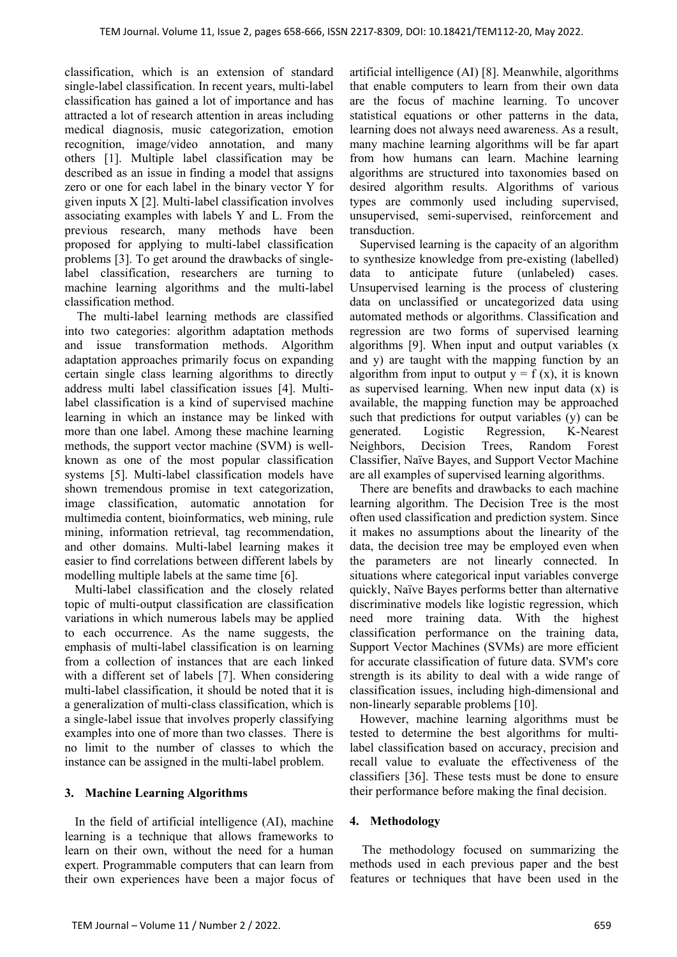classification, which is an extension of standard single-label classification. In recent years, multi-label classification has gained a lot of importance and has attracted a lot of research attention in areas including medical diagnosis, music categorization, emotion recognition, image/video annotation, and many others [1]. Multiple label classification may be described as an issue in finding a model that assigns zero or one for each label in the binary vector Y for given inputs X [2]. Multi-label classification involves associating examples with labels Y and L. From the previous research, many methods have been proposed for applying to multi-label classification problems [3]. To get around the drawbacks of singlelabel classification, researchers are turning to machine learning algorithms and the multi-label classification method.

The multi-label learning methods are classified into two categories: algorithm adaptation methods and issue transformation methods. Algorithm adaptation approaches primarily focus on expanding certain single class learning algorithms to directly address multi label classification issues [4]. Multilabel classification is a kind of supervised machine learning in which an instance may be linked with more than one label. Among these machine learning methods, the support vector machine (SVM) is wellknown as one of the most popular classification systems [5]. Multi-label classification models have shown tremendous promise in text categorization, image classification, automatic annotation for multimedia content, bioinformatics, web mining, rule mining, information retrieval, tag recommendation, and other domains. Multi-label learning makes it easier to find correlations between different labels by modelling multiple labels at the same time [6].

Multi-label classification and the closely related topic of multi-output classification are classification variations in which numerous labels may be applied to each occurrence. As the name suggests, the emphasis of multi-label classification is on learning from a collection of instances that are each linked with a different set of labels [7]. When considering multi-label classification, it should be noted that it is a generalization of multi-class classification, which is a single-label issue that involves properly classifying examples into one of more than two classes. There is no limit to the number of classes to which the instance can be assigned in the multi-label problem.

#### **3. Machine Learning Algorithms**

In the field of artificial intelligence (AI), machine learning is a technique that allows frameworks to learn on their own, without the need for a human expert. Programmable computers that can learn from their own experiences have been a major focus of artificial intelligence (AI) [8]. Meanwhile, algorithms that enable computers to learn from their own data are the focus of machine learning. To uncover statistical equations or other patterns in the data, learning does not always need awareness. As a result, many machine learning algorithms will be far apart from how humans can learn. Machine learning algorithms are structured into taxonomies based on desired algorithm results. Algorithms of various types are commonly used including supervised, unsupervised, semi-supervised, reinforcement and transduction.

Supervised learning is the capacity of an algorithm to synthesize knowledge from pre-existing (labelled) data to anticipate future (unlabeled) cases. Unsupervised learning is the process of clustering data on unclassified or uncategorized data using automated methods or algorithms. Classification and regression are two forms of supervised learning algorithms [9]. When input and output variables (x and y) are taught with the mapping function by an algorithm from input to output  $y = f(x)$ , it is known as supervised learning. When new input data (x) is available, the mapping function may be approached such that predictions for output variables (y) can be generated. Logistic Regression, K-Nearest Neighbors, Decision Trees, Random Forest Classifier, Naïve Bayes, and Support Vector Machine are all examples of supervised learning algorithms.

There are benefits and drawbacks to each machine learning algorithm. The Decision Tree is the most often used classification and prediction system. Since it makes no assumptions about the linearity of the data, the decision tree may be employed even when the parameters are not linearly connected. In situations where categorical input variables converge quickly, Naïve Bayes performs better than alternative discriminative models like logistic regression, which need more training data. With the highest classification performance on the training data, Support Vector Machines (SVMs) are more efficient for accurate classification of future data. SVM's core strength is its ability to deal with a wide range of classification issues, including high-dimensional and non-linearly separable problems [10].

However, machine learning algorithms must be tested to determine the best algorithms for multilabel classification based on accuracy, precision and recall value to evaluate the effectiveness of the classifiers [36]. These tests must be done to ensure their performance before making the final decision.

#### **4. Methodology**

The methodology focused on summarizing the methods used in each previous paper and the best features or techniques that have been used in the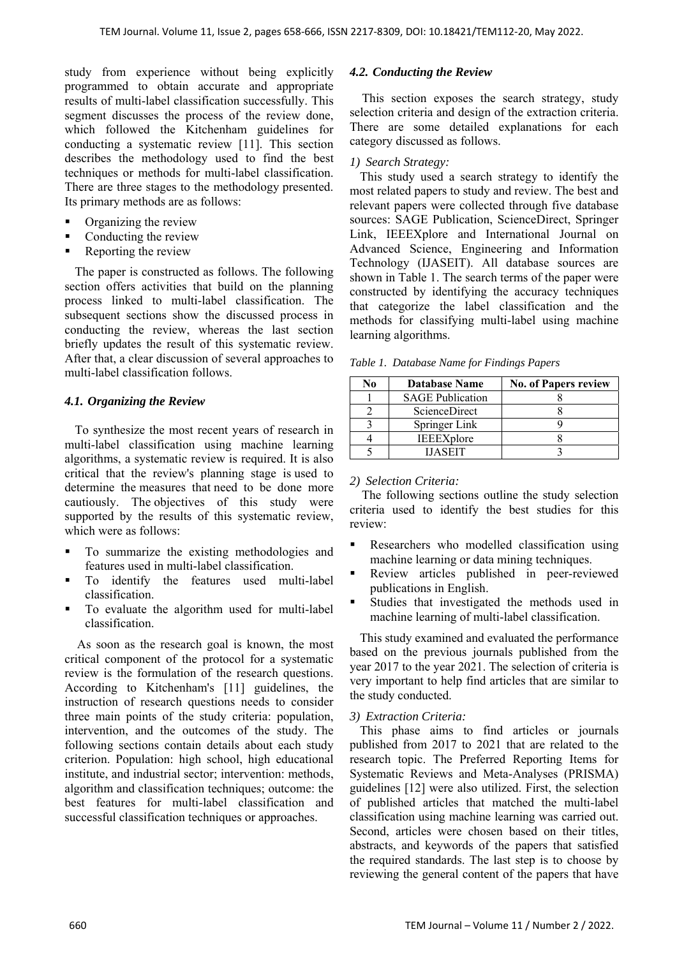study from experience without being explicitly programmed to obtain accurate and appropriate results of multi-label classification successfully. This segment discusses the process of the review done, which followed the Kitchenham guidelines for conducting a systematic review [11]. This section describes the methodology used to find the best techniques or methods for multi-label classification. There are three stages to the methodology presented. Its primary methods are as follows:

- Organizing the review
- Conducting the review
- Reporting the review

The paper is constructed as follows. The following section offers activities that build on the planning process linked to multi-label classification. The subsequent sections show the discussed process in conducting the review, whereas the last section briefly updates the result of this systematic review. After that, a clear discussion of several approaches to multi-label classification follows.

### *4.1. Organizing the Review*

To synthesize the most recent years of research in multi-label classification using machine learning algorithms, a systematic review is required. It is also critical that the review's planning stage is used to determine the measures that need to be done more cautiously. The objectives of this study were supported by the results of this systematic review, which were as follows:

- To summarize the existing methodologies and features used in multi-label classification.
- To identify the features used multi-label classification.
- To evaluate the algorithm used for multi-label classification.

As soon as the research goal is known, the most critical component of the protocol for a systematic review is the formulation of the research questions. According to Kitchenham's [11] guidelines, the instruction of research questions needs to consider three main points of the study criteria: population, intervention, and the outcomes of the study. The following sections contain details about each study criterion. Population: high school, high educational institute, and industrial sector; intervention: methods, algorithm and classification techniques; outcome: the best features for multi-label classification and successful classification techniques or approaches.

### *4.2. Conducting the Review*

This section exposes the search strategy, study selection criteria and design of the extraction criteria. There are some detailed explanations for each category discussed as follows.

# *1) Search Strategy:*

This study used a search strategy to identify the most related papers to study and review. The best and relevant papers were collected through five database sources: SAGE Publication, ScienceDirect, Springer Link, IEEEXplore and International Journal on Advanced Science, Engineering and Information Technology (IJASEIT). All database sources are shown in Table 1. The search terms of the paper were constructed by identifying the accuracy techniques that categorize the label classification and the methods for classifying multi-label using machine learning algorithms.

| ÑΩ | <b>Database Name</b>    | <b>No. of Papers review</b> |
|----|-------------------------|-----------------------------|
|    | <b>SAGE Publication</b> |                             |
|    | <b>ScienceDirect</b>    |                             |
|    | Springer Link           |                             |
|    | <b>IEEEXplore</b>       |                             |
|    | <b>HASEIT</b>           |                             |

*Table 1. Database Name for Findings Papers* 

#### *2) Selection Criteria:*

 The following sections outline the study selection criteria used to identify the best studies for this review:

- Researchers who modelled classification using machine learning or data mining techniques.
- Review articles published in peer-reviewed publications in English.
- Studies that investigated the methods used in machine learning of multi-label classification.

This study examined and evaluated the performance based on the previous journals published from the year 2017 to the year 2021. The selection of criteria is very important to help find articles that are similar to the study conducted.

#### *3) Extraction Criteria:*

This phase aims to find articles or journals published from 2017 to 2021 that are related to the research topic. The Preferred Reporting Items for Systematic Reviews and Meta-Analyses (PRISMA) guidelines [12] were also utilized. First, the selection of published articles that matched the multi-label classification using machine learning was carried out. Second, articles were chosen based on their titles, abstracts, and keywords of the papers that satisfied the required standards. The last step is to choose by reviewing the general content of the papers that have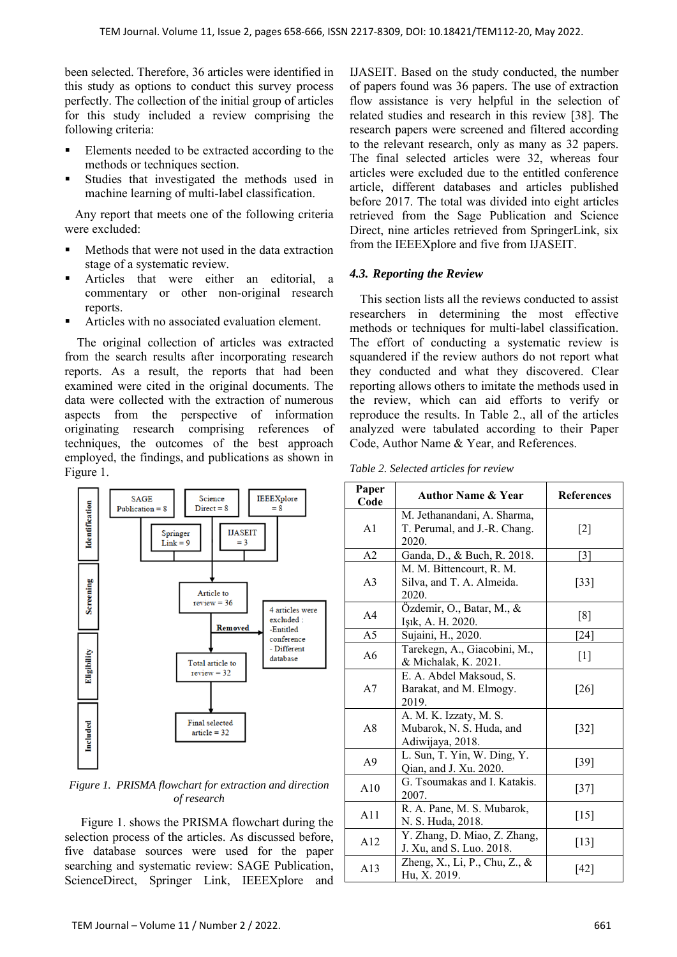been selected. Therefore, 36 articles were identified in this study as options to conduct this survey process perfectly. The collection of the initial group of articles for this study included a review comprising the following criteria:

- Elements needed to be extracted according to the methods or techniques section.
- Studies that investigated the methods used in machine learning of multi-label classification.

Any report that meets one of the following criteria were excluded:

- Methods that were not used in the data extraction stage of a systematic review.
- Articles that were either an editorial, a commentary or other non-original research reports.
- Articles with no associated evaluation element.

 The original collection of articles was extracted from the search results after incorporating research reports. As a result, the reports that had been examined were cited in the original documents. The data were collected with the extraction of numerous aspects from the perspective of information originating research comprising references of techniques, the outcomes of the best approach employed, the findings, and publications as shown in Figure 1.



*Figure 1. PRISMA flowchart for extraction and direction of research* 

Figure 1. shows the PRISMA flowchart during the selection process of the articles. As discussed before, five database sources were used for the paper searching and systematic review: SAGE Publication, ScienceDirect, Springer Link, IEEEXplore and IJASEIT. Based on the study conducted, the number of papers found was 36 papers. The use of extraction flow assistance is very helpful in the selection of related studies and research in this review [38]. The research papers were screened and filtered according to the relevant research, only as many as 32 papers. The final selected articles were 32, whereas four articles were excluded due to the entitled conference article, different databases and articles published before 2017. The total was divided into eight articles retrieved from the Sage Publication and Science Direct, nine articles retrieved from SpringerLink, six from the IEEEXplore and five from IJASEIT.

#### *4.3. Reporting the Review*

This section lists all the reviews conducted to assist researchers in determining the most effective methods or techniques for multi-label classification. The effort of conducting a systematic review is squandered if the review authors do not report what they conducted and what they discovered. Clear reporting allows others to imitate the methods used in the review, which can aid efforts to verify or reproduce the results. In Table 2., all of the articles analyzed were tabulated according to their Paper Code, Author Name & Year, and References.

| Table 2. Selected articles for review |  |  |
|---------------------------------------|--|--|
|                                       |  |  |

| Paper<br>Code  | <b>Author Name &amp; Year</b>                                          | <b>References</b>                                                                                                                                                                |
|----------------|------------------------------------------------------------------------|----------------------------------------------------------------------------------------------------------------------------------------------------------------------------------|
| A1             | M. Jethanandani, A. Sharma,<br>T. Perumal, and J.-R. Chang.<br>2020.   | $\lceil 2 \rceil$                                                                                                                                                                |
| A <sub>2</sub> | Ganda, D., & Buch, R. 2018.                                            | [3]                                                                                                                                                                              |
| A3             | M. M. Bittencourt, R. M.<br>Silva, and T. A. Almeida.<br>2020.         | $\left[33\right]$                                                                                                                                                                |
| A <sub>4</sub> | Özdemir, O., Batar, M., &<br>Işık, A. H. 2020.                         | [8]                                                                                                                                                                              |
| A <sub>5</sub> | Sujaini, H., 2020.                                                     | $[24]$                                                                                                                                                                           |
| A6             | Tarekegn, A., Giacobini, M.,<br>& Michalak, K. 2021.                   | $[1] % \includegraphics[width=0.9\columnwidth]{figures/fig_10.pdf} \caption{The figure shows the number of times of the estimators in the left and right.} \label{fig:fig:time}$ |
| A7             | E. A. Abdel Maksoud, S.<br>Barakat, and M. Elmogy.<br>2019.            | [26]                                                                                                                                                                             |
| A8             | A. M. K. Izzaty, M. S.<br>Mubarok, N. S. Huda, and<br>Adiwijaya, 2018. | $[32]$                                                                                                                                                                           |
| A9             | L. Sun, T. Yin, W. Ding, Y.<br>Qian, and J. Xu. 2020.                  | [39]                                                                                                                                                                             |
| A10            | G. Tsoumakas and I. Katakis.<br>2007.                                  | $[37]$                                                                                                                                                                           |
| A11            | R. A. Pane, M. S. Mubarok,<br>$[15]$<br>N. S. Huda, 2018.              |                                                                                                                                                                                  |
| A12            | Y. Zhang, D. Miao, Z. Zhang,<br>$[13]$<br>J. Xu, and S. Luo. 2018.     |                                                                                                                                                                                  |
| A13            | Zheng, X., Li, P., Chu, Z., &<br>Hu, X. 2019.                          | [42]                                                                                                                                                                             |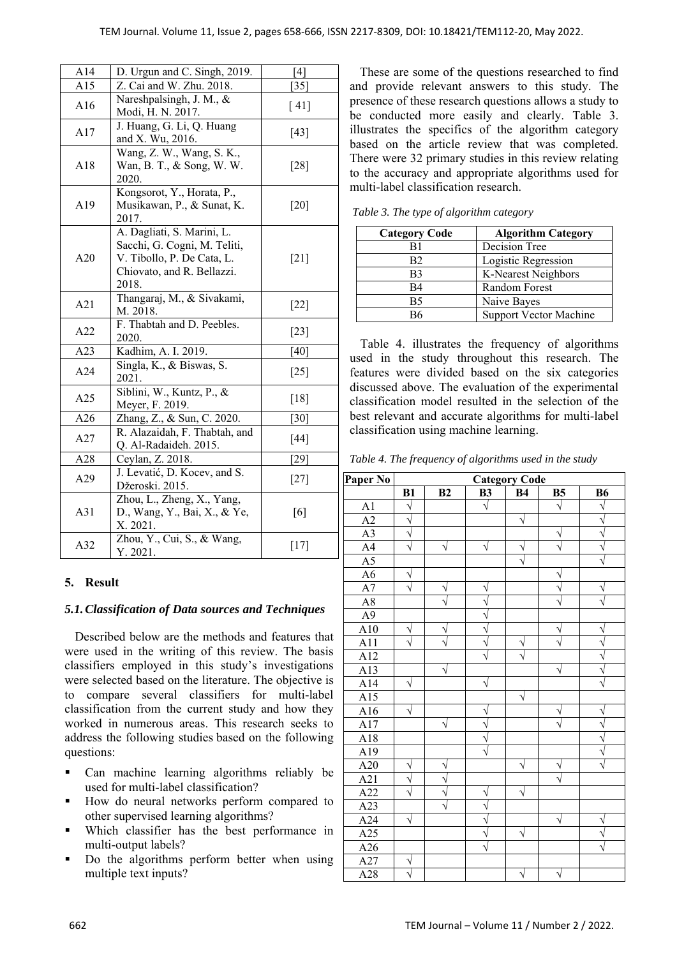| A14             | D. Urgun and C. Singh, 2019.                                                                                                    | [4]               |
|-----------------|---------------------------------------------------------------------------------------------------------------------------------|-------------------|
| A15             | Z. Cai and W. Zhu. 2018.                                                                                                        | $[35]$            |
| A16             | Nareshpalsingh, J. M., &<br>Modi, H. N. 2017.                                                                                   | [ 41]             |
| A17             | J. Huang, G. Li, Q. Huang<br>and X. Wu, 2016.                                                                                   | [43]              |
| A18             | Wang, Z. W., Wang, S. K.,<br>Wan, B. T., & Song, W. W.<br>2020.                                                                 | $\left[28\right]$ |
| A19             | Kongsorot, Y., Horata, P.,<br>Musikawan, P., & Sunat, K.<br>2017.                                                               | [20]              |
| A20             | A. Dagliati, S. Marini, L.<br>Sacchi, G. Cogni, M. Teliti,<br>V. Tibollo, P. De Cata, L.<br>Chiovato, and R. Bellazzi.<br>2018. | $[21]$            |
| A21             | Thangaraj, M., & Sivakami,<br>M. 2018.                                                                                          | $[22]$            |
| A22             | F. Thabtah and D. Peebles.<br>2020.                                                                                             | $[23]$            |
| A23             | Kadhim, A. I. 2019.                                                                                                             | [40]              |
| A24             | Singla, K., & Biswas, S.<br>2021.                                                                                               | $[25]$            |
| A25             | Siblini, W., Kuntz, P., &<br>Meyer, F. 2019.                                                                                    | [18]              |
| A26             | Zhang, Z., & Sun, C. 2020.                                                                                                      | $[30]$            |
| A27             | R. Alazaidah, F. Thabtah, and<br>Q. Al-Radaideh. 2015.                                                                          | $[44]$            |
| A28             | Ceylan, Z. 2018.                                                                                                                | [29]              |
| A29             | J. Levatić, D. Kocev, and S.<br>Džeroski. 2015.                                                                                 | $[27]$            |
| A31             | Zhou, L., Zheng, X., Yang,<br>D., Wang, Y., Bai, X., & Ye,<br>X. 2021.                                                          | [6]               |
| A <sub>32</sub> | Zhou, Y., Cui, S., & Wang,<br>Y. 2021.                                                                                          | $[17]$            |

#### **5. Result**

#### *5.1.Classification of Data sources and Techniques*

Described below are the methods and features that were used in the writing of this review. The basis classifiers employed in this study's investigations were selected based on the literature. The objective is to compare several classifiers for multi-label classification from the current study and how they worked in numerous areas. This research seeks to address the following studies based on the following questions:

- Can machine learning algorithms reliably be used for multi-label classification?
- How do neural networks perform compared to other supervised learning algorithms?
- Which classifier has the best performance in multi-output labels?
- Do the algorithms perform better when using multiple text inputs?

These are some of the questions researched to find and provide relevant answers to this study. The presence of these research questions allows a study to be conducted more easily and clearly. Table 3. illustrates the specifics of the algorithm category based on the article review that was completed. There were 32 primary studies in this review relating to the accuracy and appropriate algorithms used for multi-label classification research.

| <b>Category Code</b> | <b>Algorithm Category</b> |
|----------------------|---------------------------|
| B1                   | Decision Tree             |
| B2                   | Logistic Regression       |
| B3                   | K-Nearest Neighbors       |
| B4                   | Random Forest             |
| B5                   | Naive Bayes               |
| R6                   | Support Vector Machine    |

*Table 3. The type of algorithm category* 

Table 4. illustrates the frequency of algorithms used in the study throughout this research. The features were divided based on the six categories discussed above. The evaluation of the experimental classification model resulted in the selection of the best relevant and accurate algorithms for multi-label classification using machine learning.

*Table 4. The frequency of algorithms used in the study* 

| Paper No         | <b>Category Code</b>  |    |                       |           |           |           |
|------------------|-----------------------|----|-----------------------|-----------|-----------|-----------|
|                  | B1                    | B2 | <b>B3</b>             | <b>B4</b> | <b>B5</b> | <b>B6</b> |
| A1               | $\sqrt{}$             |    | J                     |           |           | J         |
| $\overline{A2}$  | $\sqrt{}$             |    |                       | V         |           |           |
| $\overline{A3}$  | N                     |    |                       |           |           |           |
| A <sup>4</sup>   | $\sqrt{}$             | N  | V                     | ٧         |           |           |
| $\overline{A5}$  |                       |    |                       |           |           |           |
| $\overline{A6}$  | N                     |    |                       |           |           |           |
| $\overline{A7}$  |                       |    |                       |           |           |           |
| $\rm A8$         |                       |    |                       |           |           |           |
| A9               |                       |    |                       |           |           |           |
| A10              | V                     |    | Ń                     |           |           |           |
| $\overline{A11}$ |                       |    | Ń                     |           |           |           |
| A12              |                       |    |                       |           |           |           |
| $\overline{A13}$ |                       |    |                       |           |           |           |
| A14              |                       |    |                       |           |           |           |
| $\overline{A15}$ |                       |    |                       | V         |           |           |
| $\overline{A16}$ | $\sqrt{}$             |    |                       |           |           |           |
| A17              |                       | N  | N                     |           |           | j         |
| $\overline{A18}$ |                       |    | ٦                     |           |           |           |
| $\overline{A19}$ |                       |    | $\overline{\sqrt{ }}$ |           |           |           |
| A20              | V                     |    |                       |           |           |           |
| A21              | $\sqrt{}$             |    |                       |           |           |           |
| A22              | $\overline{\sqrt{ }}$ |    |                       |           |           |           |
| $A2\overline{3}$ |                       |    |                       |           |           |           |
| $\overline{A24}$ | J                     |    |                       |           |           |           |
| A25              |                       |    |                       | $\sqrt{}$ |           |           |
| A26              |                       |    |                       |           |           |           |
| A27              | N                     |    |                       |           |           |           |
| A28              |                       |    |                       |           |           |           |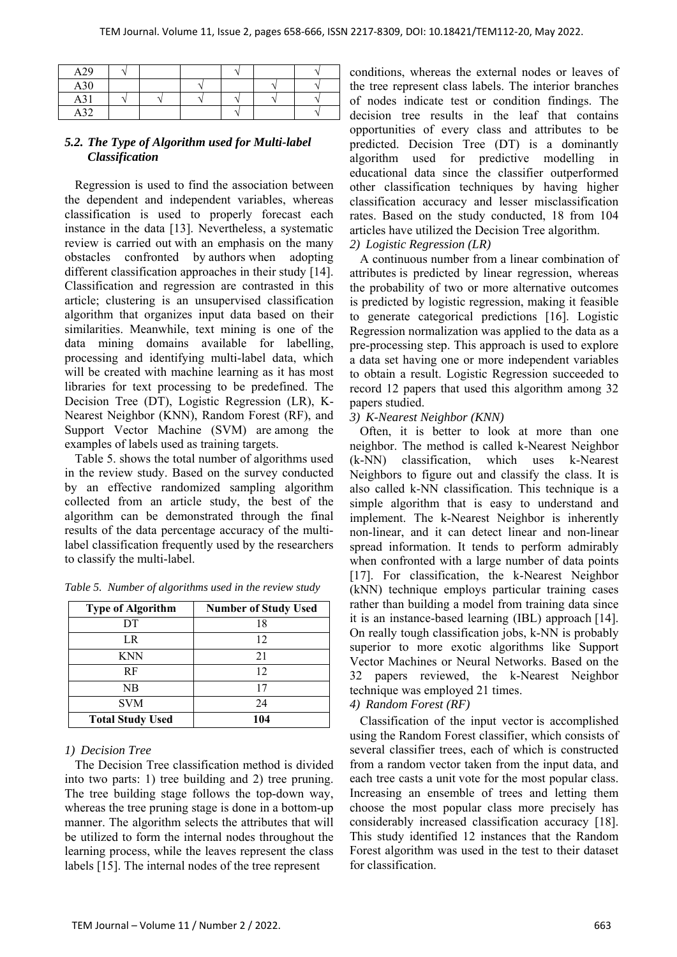| A29               |  |  |  |
|-------------------|--|--|--|
| A30               |  |  |  |
| A31               |  |  |  |
| A32<br><b>AJZ</b> |  |  |  |

#### *5.2. The Type of Algorithm used for Multi-label Classification*

Regression is used to find the association between the dependent and independent variables, whereas classification is used to properly forecast each instance in the data [13]. Nevertheless, a systematic review is carried out with an emphasis on the many obstacles confronted by authors when adopting different classification approaches in their study [14]. Classification and regression are contrasted in this article; clustering is an unsupervised classification algorithm that organizes input data based on their similarities. Meanwhile, text mining is one of the data mining domains available for labelling, processing and identifying multi-label data, which will be created with machine learning as it has most libraries for text processing to be predefined. The Decision Tree (DT), Logistic Regression (LR), K-Nearest Neighbor (KNN), Random Forest (RF), and Support Vector Machine (SVM) are among the examples of labels used as training targets.

Table 5. shows the total number of algorithms used in the review study. Based on the survey conducted by an effective randomized sampling algorithm collected from an article study, the best of the algorithm can be demonstrated through the final results of the data percentage accuracy of the multilabel classification frequently used by the researchers to classify the multi-label.

| <b>Type of Algorithm</b> | <b>Number of Study Used</b> |
|--------------------------|-----------------------------|
| DT                       | 18                          |
| LR                       | 12                          |
| <b>KNN</b>               | 21                          |
| RF                       | 12                          |
| NB                       |                             |
| <b>SVM</b>               | 24                          |
| <b>Total Study Used</b>  | 104                         |

*Table 5. Number of algorithms used in the review study* 

# *1) Decision Tree*

The Decision Tree classification method is divided into two parts: 1) tree building and 2) tree pruning. The tree building stage follows the top-down way, whereas the tree pruning stage is done in a bottom-up manner. The algorithm selects the attributes that will be utilized to form the internal nodes throughout the learning process, while the leaves represent the class labels [15]. The internal nodes of the tree represent

conditions, whereas the external nodes or leaves of the tree represent class labels. The interior branches of nodes indicate test or condition findings. The decision tree results in the leaf that contains opportunities of every class and attributes to be predicted. Decision Tree (DT) is a dominantly algorithm used for predictive modelling in educational data since the classifier outperformed other classification techniques by having higher classification accuracy and lesser misclassification rates. Based on the study conducted, 18 from 104 articles have utilized the Decision Tree algorithm.

#### *2) Logistic Regression (LR)*

A continuous number from a linear combination of attributes is predicted by linear regression, whereas the probability of two or more alternative outcomes is predicted by logistic regression, making it feasible to generate categorical predictions [16]. Logistic Regression normalization was applied to the data as a pre-processing step. This approach is used to explore a data set having one or more independent variables to obtain a result. Logistic Regression succeeded to record 12 papers that used this algorithm among 32 papers studied.

### *3) K-Nearest Neighbor (KNN)*

Often, it is better to look at more than one neighbor. The method is called k-Nearest Neighbor (k-NN) classification, which uses k-Nearest Neighbors to figure out and classify the class. It is also called k-NN classification. This technique is a simple algorithm that is easy to understand and implement. The k-Nearest Neighbor is inherently non-linear, and it can detect linear and non-linear spread information. It tends to perform admirably when confronted with a large number of data points [17]. For classification, the k-Nearest Neighbor (kNN) technique employs particular training cases rather than building a model from training data since it is an instance-based learning (IBL) approach [14]. On really tough classification jobs, k-NN is probably superior to more exotic algorithms like Support Vector Machines or Neural Networks. Based on the 32 papers reviewed, the k-Nearest Neighbor technique was employed 21 times.

# *4) Random Forest (RF)*

Classification of the input vector is accomplished using the Random Forest classifier, which consists of several classifier trees, each of which is constructed from a random vector taken from the input data, and each tree casts a unit vote for the most popular class. Increasing an ensemble of trees and letting them choose the most popular class more precisely has considerably increased classification accuracy [18]. This study identified 12 instances that the Random Forest algorithm was used in the test to their dataset for classification.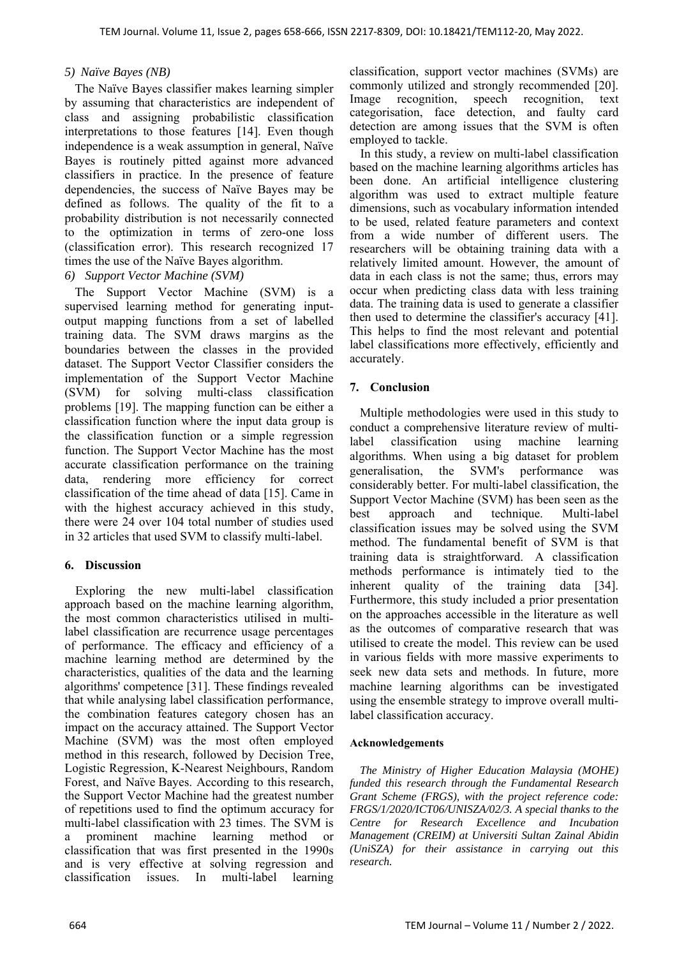#### *5) Naïve Bayes (NB)*

The Naïve Bayes classifier makes learning simpler by assuming that characteristics are independent of class and assigning probabilistic classification interpretations to those features [14]. Even though independence is a weak assumption in general, Naïve Bayes is routinely pitted against more advanced classifiers in practice. In the presence of feature dependencies, the success of Naïve Bayes may be defined as follows. The quality of the fit to a probability distribution is not necessarily connected to the optimization in terms of zero-one loss (classification error). This research recognized 17 times the use of the Naïve Bayes algorithm.

#### *6) Support Vector Machine (SVM)*

The Support Vector Machine (SVM) is a supervised learning method for generating inputoutput mapping functions from a set of labelled training data. The SVM draws margins as the boundaries between the classes in the provided dataset. The Support Vector Classifier considers the implementation of the Support Vector Machine (SVM) for solving multi-class classification problems [19]. The mapping function can be either a classification function where the input data group is the classification function or a simple regression function. The Support Vector Machine has the most accurate classification performance on the training data, rendering more efficiency for correct classification of the time ahead of data [15]. Came in with the highest accuracy achieved in this study, there were 24 over 104 total number of studies used in 32 articles that used SVM to classify multi-label.

#### **6. Discussion**

Exploring the new multi-label classification approach based on the machine learning algorithm, the most common characteristics utilised in multilabel classification are recurrence usage percentages of performance. The efficacy and efficiency of a machine learning method are determined by the characteristics, qualities of the data and the learning algorithms' competence [31]. These findings revealed that while analysing label classification performance, the combination features category chosen has an impact on the accuracy attained. The Support Vector Machine (SVM) was the most often employed method in this research, followed by Decision Tree, Logistic Regression, K-Nearest Neighbours, Random Forest, and Naïve Bayes. According to this research, the Support Vector Machine had the greatest number of repetitions used to find the optimum accuracy for multi-label classification with 23 times. The SVM is a prominent machine learning method or classification that was first presented in the 1990s and is very effective at solving regression and classification issues. In multi-label learning

classification, support vector machines (SVMs) are commonly utilized and strongly recommended [20]. Image recognition, speech recognition, text categorisation, face detection, and faulty card detection are among issues that the SVM is often employed to tackle.

In this study, a review on multi-label classification based on the machine learning algorithms articles has been done. An artificial intelligence clustering algorithm was used to extract multiple feature dimensions, such as vocabulary information intended to be used, related feature parameters and context from a wide number of different users. The researchers will be obtaining training data with a relatively limited amount. However, the amount of data in each class is not the same; thus, errors may occur when predicting class data with less training data. The training data is used to generate a classifier then used to determine the classifier's accuracy [41]. This helps to find the most relevant and potential label classifications more effectively, efficiently and accurately.

### **7. Conclusion**

Multiple methodologies were used in this study to conduct a comprehensive literature review of multilabel classification using machine learning algorithms. When using a big dataset for problem generalisation, the SVM's performance was considerably better. For multi-label classification, the Support Vector Machine (SVM) has been seen as the best approach and technique. Multi-label classification issues may be solved using the SVM method. The fundamental benefit of SVM is that training data is straightforward. A classification methods performance is intimately tied to the inherent quality of the training data [34]. Furthermore, this study included a prior presentation on the approaches accessible in the literature as well as the outcomes of comparative research that was utilised to create the model. This review can be used in various fields with more massive experiments to seek new data sets and methods. In future, more machine learning algorithms can be investigated using the ensemble strategy to improve overall multilabel classification accuracy.

#### **Acknowledgements**

*The Ministry of Higher Education Malaysia (MOHE) funded this research through the Fundamental Research Grant Scheme (FRGS), with the project reference code: FRGS/1/2020/ICT06/UNISZA/02/3. A special thanks to the Centre for Research Excellence and Incubation Management (CREIM) at Universiti Sultan Zainal Abidin (UniSZA) for their assistance in carrying out this research.*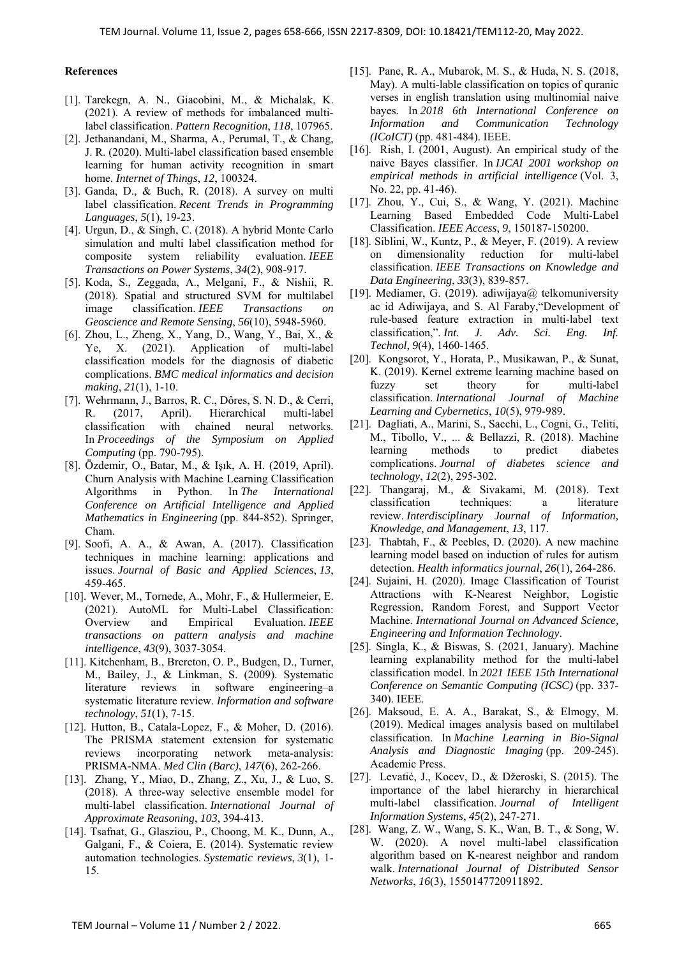#### **References**

- [1]. Tarekegn, A. N., Giacobini, M., & Michalak, K. (2021). A review of methods for imbalanced multilabel classification. *Pattern Recognition*, *118*, 107965.
- [2]. Jethanandani, M., Sharma, A., Perumal, T., & Chang, J. R. (2020). Multi-label classification based ensemble learning for human activity recognition in smart home. *Internet of Things*, *12*, 100324.
- [3]. Ganda, D., & Buch, R. (2018). A survey on multi label classification. *Recent Trends in Programming Languages*, *5*(1), 19-23.
- [4]. Urgun, D., & Singh, C. (2018). A hybrid Monte Carlo simulation and multi label classification method for composite system reliability evaluation. *IEEE Transactions on Power Systems*, *34*(2), 908-917.
- [5]. Koda, S., Zeggada, A., Melgani, F., & Nishii, R. (2018). Spatial and structured SVM for multilabel image classification. *IEEE Transactions on Geoscience and Remote Sensing*, *56*(10), 5948-5960.
- [6]. Zhou, L., Zheng, X., Yang, D., Wang, Y., Bai, X., & Ye, X. (2021). Application of multi-label classification models for the diagnosis of diabetic complications. *BMC medical informatics and decision making*, *21*(1), 1-10.
- [7]. Wehrmann, J., Barros, R. C., Dôres, S. N. D., & Cerri, R. (2017, April). Hierarchical multi-label classification with chained neural networks. In *Proceedings of the Symposium on Applied Computing* (pp. 790-795).
- [8]. Özdemir, O., Batar, M., & Işık, A. H. (2019, April). Churn Analysis with Machine Learning Classification Algorithms in Python. In *The International Conference on Artificial Intelligence and Applied Mathematics in Engineering* (pp. 844-852). Springer, Cham.
- [9]. Soofi, A. A., & Awan, A. (2017). Classification techniques in machine learning: applications and issues. *Journal of Basic and Applied Sciences*, *13*, 459-465.
- [10]. Wever, M., Tornede, A., Mohr, F., & Hullermeier, E. (2021). AutoML for Multi-Label Classification: Overview and Empirical Evaluation. *IEEE transactions on pattern analysis and machine intelligence*, *43*(9), 3037-3054.
- [11]. Kitchenham, B., Brereton, O. P., Budgen, D., Turner, M., Bailey, J., & Linkman, S. (2009). Systematic literature reviews in software engineering–a systematic literature review. *Information and software technology*, *51*(1), 7-15.
- [12]. Hutton, B., Catala-Lopez, F., & Moher, D. (2016). The PRISMA statement extension for systematic reviews incorporating network meta-analysis: PRISMA-NMA. *Med Clin (Barc)*, *147*(6), 262-266.
- [13]. Zhang, Y., Miao, D., Zhang, Z., Xu, J., & Luo, S. (2018). A three-way selective ensemble model for multi-label classification. *International Journal of Approximate Reasoning*, *103*, 394-413.
- [14]. Tsafnat, G., Glasziou, P., Choong, M. K., Dunn, A., Galgani, F., & Coiera, E. (2014). Systematic review automation technologies. *Systematic reviews*, *3*(1), 1- 15.
- [15]. Pane, R. A., Mubarok, M. S., & Huda, N. S. (2018, May). A multi-lable classification on topics of quranic verses in english translation using multinomial naive bayes. In *2018 6th International Conference on Information and Communication Technology (ICoICT)* (pp. 481-484). IEEE.
- [16]. Rish, I. (2001, August). An empirical study of the naive Bayes classifier. In *IJCAI 2001 workshop on empirical methods in artificial intelligence* (Vol. 3, No. 22, pp. 41-46).
- [17]. Zhou, Y., Cui, S., & Wang, Y. (2021). Machine Learning Based Embedded Code Multi-Label Classification. *IEEE Access*, *9*, 150187-150200.
- [18]. Siblini, W., Kuntz, P., & Meyer, F. (2019). A review on dimensionality reduction for multi-label classification. *IEEE Transactions on Knowledge and Data Engineering*, *33*(3), 839-857.
- [19]. Mediamer, G. (2019). adiwijaya@ telkomuniversity ac id Adiwijaya, and S. Al Faraby,"Development of rule-based feature extraction in multi-label text classification,". *Int. J. Adv. Sci. Eng. Inf. Technol*, *9*(4), 1460-1465.
- [20]. Kongsorot, Y., Horata, P., Musikawan, P., & Sunat, K. (2019). Kernel extreme learning machine based on fuzzy set theory for multi-label classification. *International Journal of Machine Learning and Cybernetics*, *10*(5), 979-989.
- [21]. Dagliati, A., Marini, S., Sacchi, L., Cogni, G., Teliti, M., Tibollo, V., ... & Bellazzi, R. (2018). Machine learning methods to predict diabetes complications. *Journal of diabetes science and technology*, *12*(2), 295-302.
- [22]. Thangaraj, M., & Sivakami, M. (2018). Text classification techniques: a literature review. *Interdisciplinary Journal of Information, Knowledge, and Management*, *13*, 117.
- [23]. Thabtah, F., & Peebles, D. (2020). A new machine learning model based on induction of rules for autism detection. *Health informatics journal*, *26*(1), 264-286.
- [24]. Sujaini, H. (2020). Image Classification of Tourist Attractions with K-Nearest Neighbor, Logistic Regression, Random Forest, and Support Vector Machine. *International Journal on Advanced Science, Engineering and Information Technology*.
- [25]. Singla, K., & Biswas, S. (2021, January). Machine learning explanability method for the multi-label classification model. In *2021 IEEE 15th International Conference on Semantic Computing (ICSC)* (pp. 337- 340). IEEE.
- [26]. Maksoud, E. A. A., Barakat, S., & Elmogy, M. (2019). Medical images analysis based on multilabel classification. In *Machine Learning in Bio-Signal Analysis and Diagnostic Imaging* (pp. 209-245). Academic Press.
- [27]. Levatić, J., Kocev, D., & Džeroski, S. (2015). The importance of the label hierarchy in hierarchical multi-label classification. *Journal of Intelligent Information Systems*, *45*(2), 247-271.
- [28]. Wang, Z. W., Wang, S. K., Wan, B. T., & Song, W. W. (2020). A novel multi-label classification algorithm based on K-nearest neighbor and random walk. *International Journal of Distributed Sensor Networks*, *16*(3), 1550147720911892.